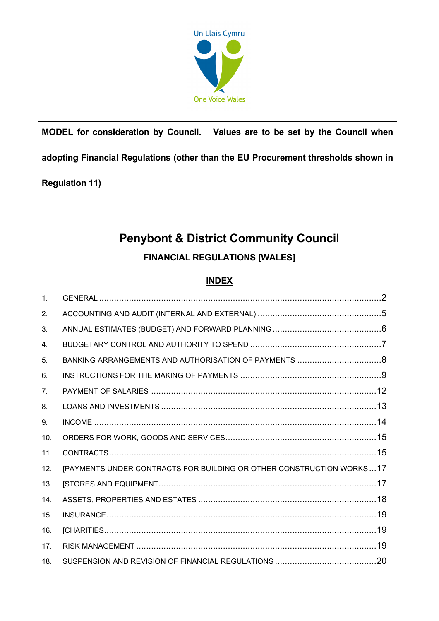

# **MODEL for consideration by Council. Values are to be set by the Council when**

**adopting Financial Regulations (other than the EU Procurement thresholds shown in** 

# **Regulation 11)**

# **Penybont & District Community Council**

# **FINANCIAL REGULATIONS [WALES]**

# **INDEX**

| $\mathbf{1}$ . |                                                                      |  |
|----------------|----------------------------------------------------------------------|--|
| 2.             |                                                                      |  |
| 3.             |                                                                      |  |
| 4.             |                                                                      |  |
| 5.             |                                                                      |  |
| 6.             |                                                                      |  |
| 7 <sub>1</sub> |                                                                      |  |
| 8.             |                                                                      |  |
| 9.             |                                                                      |  |
| 10.            |                                                                      |  |
| 11.            |                                                                      |  |
| 12.            | [PAYMENTS UNDER CONTRACTS FOR BUILDING OR OTHER CONSTRUCTION WORKS17 |  |
| 13.            |                                                                      |  |
| 14.            |                                                                      |  |
| 15.            |                                                                      |  |
| 16.            |                                                                      |  |
| 17.            |                                                                      |  |
| 18.            |                                                                      |  |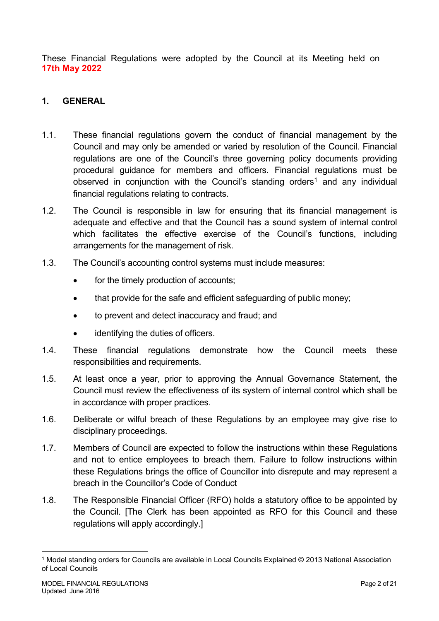These Financial Regulations were adopted by the Council at its Meeting held on **17th May 2022**

## <span id="page-1-0"></span>**1. GENERAL**

- 1.1. These financial regulations govern the conduct of financial management by the Council and may only be amended or varied by resolution of the Council. Financial regulations are one of the Council's three governing policy documents providing procedural guidance for members and officers. Financial regulations must be observed in conjunction with the Council's standing orders<sup>1</sup> and any individual financial regulations relating to contracts.
- 1.2. The Council is responsible in law for ensuring that its financial management is adequate and effective and that the Council has a sound system of internal control which facilitates the effective exercise of the Council's functions, including arrangements for the management of risk.
- 1.3. The Council's accounting control systems must include measures:
	- for the timely production of accounts;
	- that provide for the safe and efficient safeguarding of public money;
	- to prevent and detect inaccuracy and fraud; and
	- identifying the duties of officers.
- 1.4. These financial regulations demonstrate how the Council meets these responsibilities and requirements.
- 1.5. At least once a year, prior to approving the Annual Governance Statement, the Council must review the effectiveness of its system of internal control which shall be in accordance with proper practices.
- 1.6. Deliberate or wilful breach of these Regulations by an employee may give rise to disciplinary proceedings.
- 1.7. Members of Council are expected to follow the instructions within these Regulations and not to entice employees to breach them. Failure to follow instructions within these Regulations brings the office of Councillor into disrepute and may represent a breach in the Councillor's Code of Conduct
- 1.8. The Responsible Financial Officer (RFO) holds a statutory office to be appointed by the Council. [The Clerk has been appointed as RFO for this Council and these regulations will apply accordingly.]

<span id="page-1-1"></span><sup>1</sup> Model standing orders for Councils are available in Local Councils Explained © 2013 National Association of Local Councils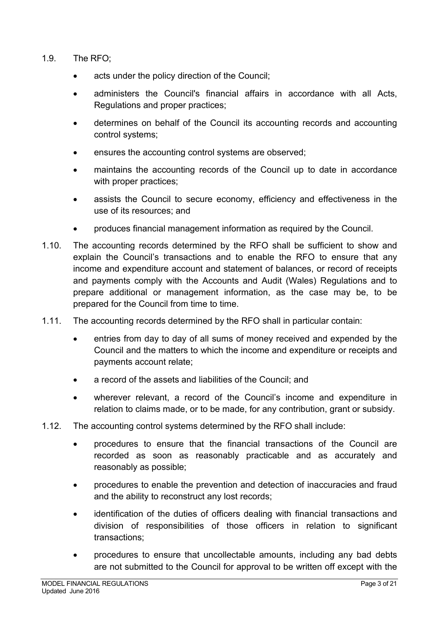- 1.9. The RFO;
	- acts under the policy direction of the Council;
	- administers the Council's financial affairs in accordance with all Acts, Regulations and proper practices;
	- determines on behalf of the Council its accounting records and accounting control systems;
	- ensures the accounting control systems are observed;
	- maintains the accounting records of the Council up to date in accordance with proper practices;
	- assists the Council to secure economy, efficiency and effectiveness in the use of its resources; and
	- produces financial management information as required by the Council.
- 1.10. The accounting records determined by the RFO shall be sufficient to show and explain the Council's transactions and to enable the RFO to ensure that any income and expenditure account and statement of balances, or record of receipts and payments comply with the Accounts and Audit (Wales) Regulations and to prepare additional or management information, as the case may be, to be prepared for the Council from time to time.
- 1.11. The accounting records determined by the RFO shall in particular contain:
	- entries from day to day of all sums of money received and expended by the Council and the matters to which the income and expenditure or receipts and payments account relate;
	- a record of the assets and liabilities of the Council; and
	- wherever relevant, a record of the Council's income and expenditure in relation to claims made, or to be made, for any contribution, grant or subsidy.
- 1.12. The accounting control systems determined by the RFO shall include:
	- procedures to ensure that the financial transactions of the Council are recorded as soon as reasonably practicable and as accurately and reasonably as possible;
	- procedures to enable the prevention and detection of inaccuracies and fraud and the ability to reconstruct any lost records;
	- identification of the duties of officers dealing with financial transactions and division of responsibilities of those officers in relation to significant transactions;
	- procedures to ensure that uncollectable amounts, including any bad debts are not submitted to the Council for approval to be written off except with the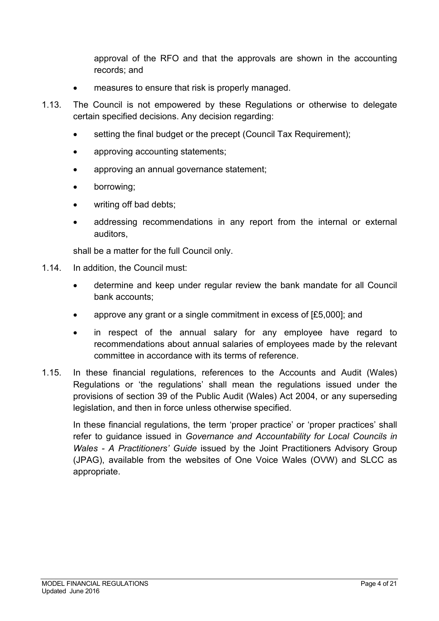approval of the RFO and that the approvals are shown in the accounting records; and

- measures to ensure that risk is properly managed.
- 1.13. The Council is not empowered by these Regulations or otherwise to delegate certain specified decisions. Any decision regarding:
	- setting the final budget or the precept (Council Tax Requirement);
	- approving accounting statements;
	- approving an annual governance statement;
	- borrowing;
	- writing off bad debts:
	- addressing recommendations in any report from the internal or external auditors,

shall be a matter for the full Council only.

- 1.14. In addition, the Council must:
	- determine and keep under regular review the bank mandate for all Council bank accounts;
	- approve any grant or a single commitment in excess of [£5,000]; and
	- in respect of the annual salary for any employee have regard to recommendations about annual salaries of employees made by the relevant committee in accordance with its terms of reference.
- 1.15. In these financial regulations, references to the Accounts and Audit (Wales) Regulations or 'the regulations' shall mean the regulations issued under the provisions of section 39 of the Public Audit (Wales) Act 2004, or any superseding legislation, and then in force unless otherwise specified.

<span id="page-3-0"></span>In these financial regulations, the term 'proper practice' or 'proper practices' shall refer to guidance issued in *Governance and Accountability for Local Councils in Wales - A Practitioners' Guide* issued by the Joint Practitioners Advisory Group (JPAG), available from the websites of One Voice Wales (OVW) and SLCC as appropriate.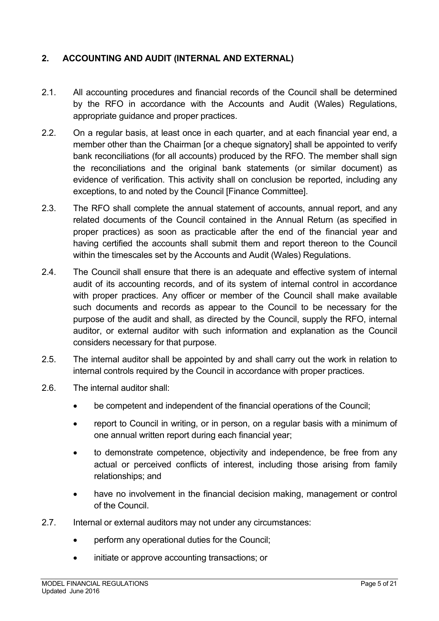## **2. ACCOUNTING AND AUDIT (INTERNAL AND EXTERNAL)**

- 2.1. All accounting procedures and financial records of the Council shall be determined by the RFO in accordance with the Accounts and Audit (Wales) Regulations, appropriate guidance and proper practices.
- 2.2. On a regular basis, at least once in each quarter, and at each financial year end, a member other than the Chairman [or a cheque signatory] shall be appointed to verify bank reconciliations (for all accounts) produced by the RFO. The member shall sign the reconciliations and the original bank statements (or similar document) as evidence of verification. This activity shall on conclusion be reported, including any exceptions, to and noted by the Council [Finance Committee].
- 2.3. The RFO shall complete the annual statement of accounts, annual report, and any related documents of the Council contained in the Annual Return (as specified in proper practices) as soon as practicable after the end of the financial year and having certified the accounts shall submit them and report thereon to the Council within the timescales set by the Accounts and Audit (Wales) Regulations.
- 2.4. The Council shall ensure that there is an adequate and effective system of internal audit of its accounting records, and of its system of internal control in accordance with proper practices. Any officer or member of the Council shall make available such documents and records as appear to the Council to be necessary for the purpose of the audit and shall, as directed by the Council, supply the RFO, internal auditor, or external auditor with such information and explanation as the Council considers necessary for that purpose.
- 2.5. The internal auditor shall be appointed by and shall carry out the work in relation to internal controls required by the Council in accordance with proper practices.
- 2.6. The internal auditor shall:
	- be competent and independent of the financial operations of the Council;
	- report to Council in writing, or in person, on a regular basis with a minimum of one annual written report during each financial year;
	- to demonstrate competence, objectivity and independence, be free from any actual or perceived conflicts of interest, including those arising from family relationships; and
	- have no involvement in the financial decision making, management or control of the Council.
- 2.7. Internal or external auditors may not under any circumstances:
	- perform any operational duties for the Council;
	- initiate or approve accounting transactions; or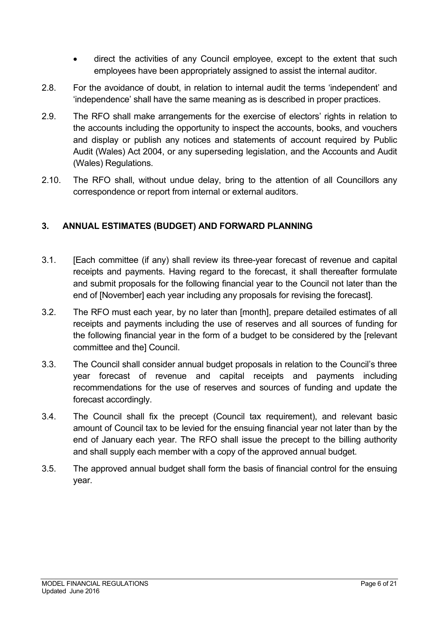- direct the activities of any Council employee, except to the extent that such employees have been appropriately assigned to assist the internal auditor.
- 2.8. For the avoidance of doubt, in relation to internal audit the terms 'independent' and 'independence' shall have the same meaning as is described in proper practices.
- 2.9. The RFO shall make arrangements for the exercise of electors' rights in relation to the accounts including the opportunity to inspect the accounts, books, and vouchers and display or publish any notices and statements of account required by Public Audit (Wales) Act 2004, or any superseding legislation, and the Accounts and Audit (Wales) Regulations.
- 2.10. The RFO shall, without undue delay, bring to the attention of all Councillors any correspondence or report from internal or external auditors.

## <span id="page-5-0"></span>**3. ANNUAL ESTIMATES (BUDGET) AND FORWARD PLANNING**

- 3.1. [Each committee (if any) shall review its three-year forecast of revenue and capital receipts and payments. Having regard to the forecast, it shall thereafter formulate and submit proposals for the following financial year to the Council not later than the end of [November] each year including any proposals for revising the forecast].
- 3.2. The RFO must each year, by no later than [month], prepare detailed estimates of all receipts and payments including the use of reserves and all sources of funding for the following financial year in the form of a budget to be considered by the [relevant committee and the] Council.
- 3.3. The Council shall consider annual budget proposals in relation to the Council's three year forecast of revenue and capital receipts and payments including recommendations for the use of reserves and sources of funding and update the forecast accordingly.
- 3.4. The Council shall fix the precept (Council tax requirement), and relevant basic amount of Council tax to be levied for the ensuing financial year not later than by the end of January each year. The RFO shall issue the precept to the billing authority and shall supply each member with a copy of the approved annual budget.
- <span id="page-5-1"></span>3.5. The approved annual budget shall form the basis of financial control for the ensuing year.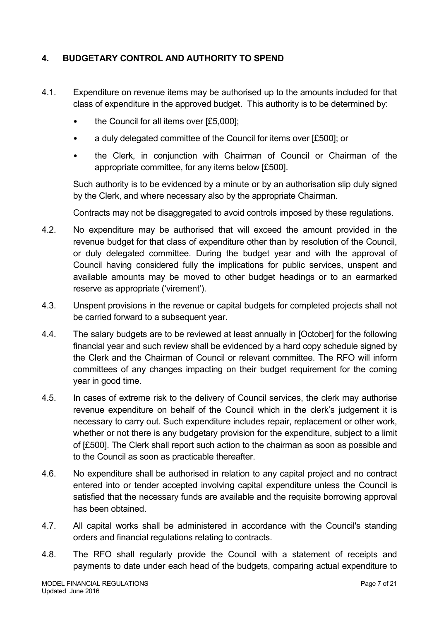# **4. BUDGETARY CONTROL AND AUTHORITY TO SPEND**

- 4.1. Expenditure on revenue items may be authorised up to the amounts included for that class of expenditure in the approved budget. This authority is to be determined by:
	- the Council for all items over [£5,000];
	- a duly delegated committee of the Council for items over [£500]; or
	- the Clerk, in conjunction with Chairman of Council or Chairman of the appropriate committee, for any items below [£500].

Such authority is to be evidenced by a minute or by an authorisation slip duly signed by the Clerk, and where necessary also by the appropriate Chairman.

Contracts may not be disaggregated to avoid controls imposed by these regulations.

- 4.2. No expenditure may be authorised that will exceed the amount provided in the revenue budget for that class of expenditure other than by resolution of the Council, or duly delegated committee. During the budget year and with the approval of Council having considered fully the implications for public services, unspent and available amounts may be moved to other budget headings or to an earmarked reserve as appropriate ('virement').
- 4.3. Unspent provisions in the revenue or capital budgets for completed projects shall not be carried forward to a subsequent year.
- 4.4. The salary budgets are to be reviewed at least annually in [October] for the following financial year and such review shall be evidenced by a hard copy schedule signed by the Clerk and the Chairman of Council or relevant committee. The RFO will inform committees of any changes impacting on their budget requirement for the coming year in good time.
- 4.5. In cases of extreme risk to the delivery of Council services, the clerk may authorise revenue expenditure on behalf of the Council which in the clerk's judgement it is necessary to carry out. Such expenditure includes repair, replacement or other work, whether or not there is any budgetary provision for the expenditure, subject to a limit of [£500]. The Clerk shall report such action to the chairman as soon as possible and to the Council as soon as practicable thereafter.
- 4.6. No expenditure shall be authorised in relation to any capital project and no contract entered into or tender accepted involving capital expenditure unless the Council is satisfied that the necessary funds are available and the requisite borrowing approval has been obtained.
- 4.7. All capital works shall be administered in accordance with the Council's standing orders and financial regulations relating to contracts.
- 4.8. The RFO shall regularly provide the Council with a statement of receipts and payments to date under each head of the budgets, comparing actual expenditure to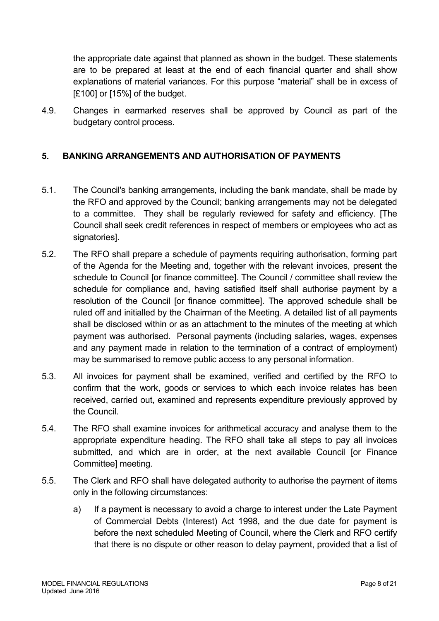the appropriate date against that planned as shown in the budget. These statements are to be prepared at least at the end of each financial quarter and shall show explanations of material variances. For this purpose "material" shall be in excess of [£100] or [15%] of the budget.

4.9. Changes in earmarked reserves shall be approved by Council as part of the budgetary control process.

# <span id="page-7-0"></span>**5. BANKING ARRANGEMENTS AND AUTHORISATION OF PAYMENTS**

- 5.1. The Council's banking arrangements, including the bank mandate, shall be made by the RFO and approved by the Council; banking arrangements may not be delegated to a committee. They shall be regularly reviewed for safety and efficiency. [The Council shall seek credit references in respect of members or employees who act as signatories].
- 5.2. The RFO shall prepare a schedule of payments requiring authorisation, forming part of the Agenda for the Meeting and, together with the relevant invoices, present the schedule to Council [or finance committee]. The Council / committee shall review the schedule for compliance and, having satisfied itself shall authorise payment by a resolution of the Council [or finance committee]. The approved schedule shall be ruled off and initialled by the Chairman of the Meeting. A detailed list of all payments shall be disclosed within or as an attachment to the minutes of the meeting at which payment was authorised. Personal payments (including salaries, wages, expenses and any payment made in relation to the termination of a contract of employment) may be summarised to remove public access to any personal information.
- 5.3. All invoices for payment shall be examined, verified and certified by the RFO to confirm that the work, goods or services to which each invoice relates has been received, carried out, examined and represents expenditure previously approved by the Council.
- 5.4. The RFO shall examine invoices for arithmetical accuracy and analyse them to the appropriate expenditure heading. The RFO shall take all steps to pay all invoices submitted, and which are in order, at the next available Council [or Finance Committee] meeting.
- 5.5. The Clerk and RFO shall have delegated authority to authorise the payment of items only in the following circumstances:
	- a) If a payment is necessary to avoid a charge to interest under the Late Payment of Commercial Debts (Interest) Act 1998, and the due date for payment is before the next scheduled Meeting of Council, where the Clerk and RFO certify that there is no dispute or other reason to delay payment, provided that a list of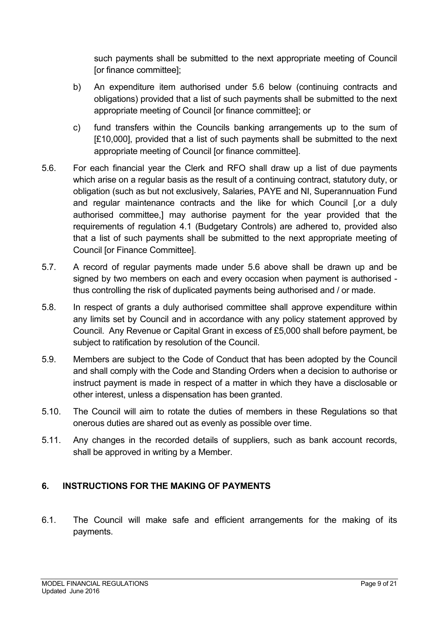such payments shall be submitted to the next appropriate meeting of Council [or finance committee];

- b) An expenditure item authorised under 5.6 below (continuing contracts and obligations) provided that a list of such payments shall be submitted to the next appropriate meeting of Council [or finance committee]; or
- c) fund transfers within the Councils banking arrangements up to the sum of [£10,000], provided that a list of such payments shall be submitted to the next appropriate meeting of Council [or finance committee].
- 5.6. For each financial year the Clerk and RFO shall draw up a list of due payments which arise on a regular basis as the result of a continuing contract, statutory duty, or obligation (such as but not exclusively, Salaries, PAYE and NI, Superannuation Fund and regular maintenance contracts and the like for which Council [,or a duly authorised committee,] may authorise payment for the year provided that the requirements of regulation 4.1 (Budgetary Controls) are adhered to, provided also that a list of such payments shall be submitted to the next appropriate meeting of Council [or Finance Committee].
- 5.7. A record of regular payments made under 5.6 above shall be drawn up and be signed by two members on each and every occasion when payment is authorised thus controlling the risk of duplicated payments being authorised and / or made.
- 5.8. In respect of grants a duly authorised committee shall approve expenditure within any limits set by Council and in accordance with any policy statement approved by Council. Any Revenue or Capital Grant in excess of £5,000 shall before payment, be subject to ratification by resolution of the Council.
- 5.9. Members are subject to the Code of Conduct that has been adopted by the Council and shall comply with the Code and Standing Orders when a decision to authorise or instruct payment is made in respect of a matter in which they have a disclosable or other interest, unless a dispensation has been granted.
- 5.10. The Council will aim to rotate the duties of members in these Regulations so that onerous duties are shared out as evenly as possible over time.
- 5.11. Any changes in the recorded details of suppliers, such as bank account records, shall be approved in writing by a Member.

# <span id="page-8-0"></span>**6. INSTRUCTIONS FOR THE MAKING OF PAYMENTS**

6.1. The Council will make safe and efficient arrangements for the making of its payments.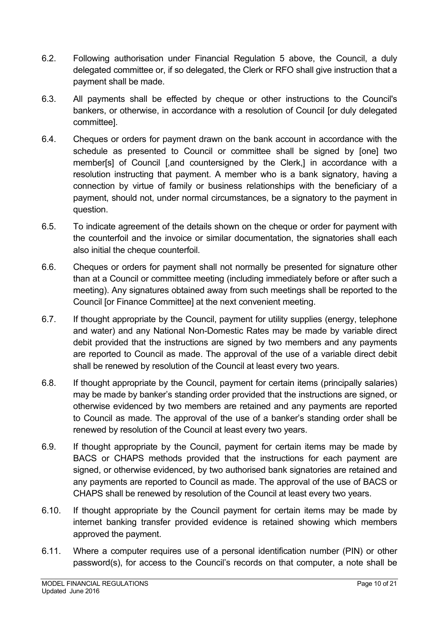- 6.2. Following authorisation under Financial Regulation 5 above, the Council, a duly delegated committee or, if so delegated, the Clerk or RFO shall give instruction that a payment shall be made.
- 6.3. All payments shall be effected by cheque or other instructions to the Council's bankers, or otherwise, in accordance with a resolution of Council [or duly delegated committee].
- 6.4. Cheques or orders for payment drawn on the bank account in accordance with the schedule as presented to Council or committee shall be signed by [one] two member[s] of Council [,and countersigned by the Clerk,] in accordance with a resolution instructing that payment. A member who is a bank signatory, having a connection by virtue of family or business relationships with the beneficiary of a payment, should not, under normal circumstances, be a signatory to the payment in question.
- 6.5. To indicate agreement of the details shown on the cheque or order for payment with the counterfoil and the invoice or similar documentation, the signatories shall each also initial the cheque counterfoil.
- 6.6. Cheques or orders for payment shall not normally be presented for signature other than at a Council or committee meeting (including immediately before or after such a meeting). Any signatures obtained away from such meetings shall be reported to the Council [or Finance Committee] at the next convenient meeting.
- 6.7. If thought appropriate by the Council, payment for utility supplies (energy, telephone and water) and any National Non-Domestic Rates may be made by variable direct debit provided that the instructions are signed by two members and any payments are reported to Council as made. The approval of the use of a variable direct debit shall be renewed by resolution of the Council at least every two years.
- 6.8. If thought appropriate by the Council, payment for certain items (principally salaries) may be made by banker's standing order provided that the instructions are signed, or otherwise evidenced by two members are retained and any payments are reported to Council as made. The approval of the use of a banker's standing order shall be renewed by resolution of the Council at least every two years.
- 6.9. If thought appropriate by the Council, payment for certain items may be made by BACS or CHAPS methods provided that the instructions for each payment are signed, or otherwise evidenced, by two authorised bank signatories are retained and any payments are reported to Council as made. The approval of the use of BACS or CHAPS shall be renewed by resolution of the Council at least every two years.
- 6.10. If thought appropriate by the Council payment for certain items may be made by internet banking transfer provided evidence is retained showing which members approved the payment.
- 6.11. Where a computer requires use of a personal identification number (PIN) or other password(s), for access to the Council's records on that computer, a note shall be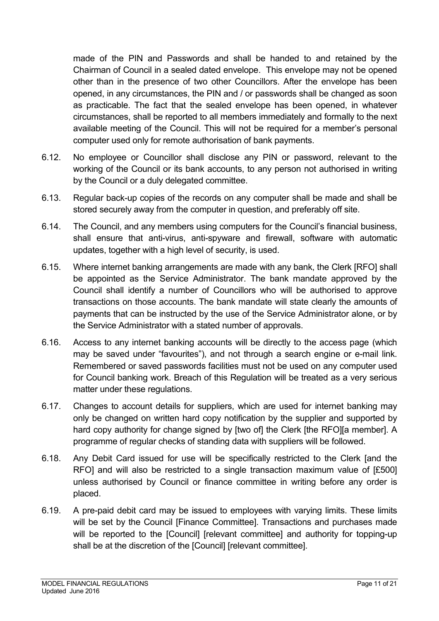made of the PIN and Passwords and shall be handed to and retained by the Chairman of Council in a sealed dated envelope. This envelope may not be opened other than in the presence of two other Councillors. After the envelope has been opened, in any circumstances, the PIN and / or passwords shall be changed as soon as practicable. The fact that the sealed envelope has been opened, in whatever circumstances, shall be reported to all members immediately and formally to the next available meeting of the Council. This will not be required for a member's personal computer used only for remote authorisation of bank payments.

- 6.12. No employee or Councillor shall disclose any PIN or password, relevant to the working of the Council or its bank accounts, to any person not authorised in writing by the Council or a duly delegated committee.
- 6.13. Regular back-up copies of the records on any computer shall be made and shall be stored securely away from the computer in question, and preferably off site.
- 6.14. The Council, and any members using computers for the Council's financial business, shall ensure that anti-virus, anti-spyware and firewall, software with automatic updates, together with a high level of security, is used.
- 6.15. Where internet banking arrangements are made with any bank, the Clerk [RFO] shall be appointed as the Service Administrator. The bank mandate approved by the Council shall identify a number of Councillors who will be authorised to approve transactions on those accounts. The bank mandate will state clearly the amounts of payments that can be instructed by the use of the Service Administrator alone, or by the Service Administrator with a stated number of approvals.
- 6.16. Access to any internet banking accounts will be directly to the access page (which may be saved under "favourites"), and not through a search engine or e-mail link. Remembered or saved passwords facilities must not be used on any computer used for Council banking work. Breach of this Regulation will be treated as a very serious matter under these regulations.
- 6.17. Changes to account details for suppliers, which are used for internet banking may only be changed on written hard copy notification by the supplier and supported by hard copy authority for change signed by [two of] the Clerk [the RFO][a member]. A programme of regular checks of standing data with suppliers will be followed.
- 6.18. Any Debit Card issued for use will be specifically restricted to the Clerk [and the RFO] and will also be restricted to a single transaction maximum value of [£500] unless authorised by Council or finance committee in writing before any order is placed.
- 6.19. A pre-paid debit card may be issued to employees with varying limits. These limits will be set by the Council [Finance Committee]. Transactions and purchases made will be reported to the [Council] [relevant committee] and authority for topping-up shall be at the discretion of the [Council] [relevant committee].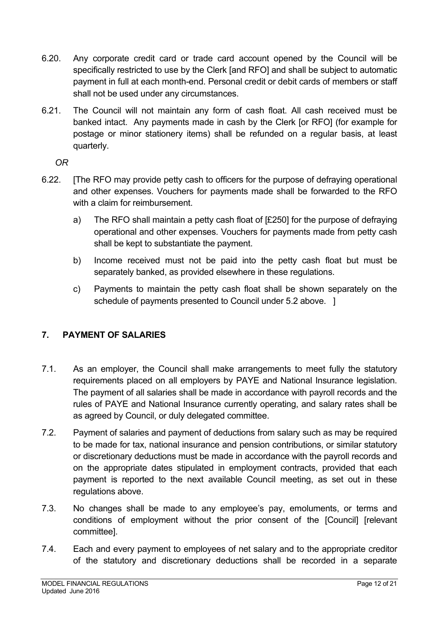- 6.20. Any corporate credit card or trade card account opened by the Council will be specifically restricted to use by the Clerk [and RFO] and shall be subject to automatic payment in full at each month-end. Personal credit or debit cards of members or staff shall not be used under any circumstances.
- 6.21. The Council will not maintain any form of cash float. All cash received must be banked intact. Any payments made in cash by the Clerk [or RFO] (for example for postage or minor stationery items) shall be refunded on a regular basis, at least quarterly.

*OR* 

- 6.22. [The RFO may provide petty cash to officers for the purpose of defraying operational and other expenses. Vouchers for payments made shall be forwarded to the RFO with a claim for reimbursement.
	- a) The RFO shall maintain a petty cash float of [£250] for the purpose of defraying operational and other expenses. Vouchers for payments made from petty cash shall be kept to substantiate the payment.
	- b) Income received must not be paid into the petty cash float but must be separately banked, as provided elsewhere in these regulations.
	- c) Payments to maintain the petty cash float shall be shown separately on the schedule of payments presented to Council under 5.2 above. 1

# <span id="page-11-0"></span>**7. PAYMENT OF SALARIES**

- 7.1. As an employer, the Council shall make arrangements to meet fully the statutory requirements placed on all employers by PAYE and National Insurance legislation. The payment of all salaries shall be made in accordance with payroll records and the rules of PAYE and National Insurance currently operating, and salary rates shall be as agreed by Council, or duly delegated committee.
- 7.2. Payment of salaries and payment of deductions from salary such as may be required to be made for tax, national insurance and pension contributions, or similar statutory or discretionary deductions must be made in accordance with the payroll records and on the appropriate dates stipulated in employment contracts, provided that each payment is reported to the next available Council meeting, as set out in these regulations above.
- 7.3. No changes shall be made to any employee's pay, emoluments, or terms and conditions of employment without the prior consent of the [Council] [relevant committee].
- 7.4. Each and every payment to employees of net salary and to the appropriate creditor of the statutory and discretionary deductions shall be recorded in a separate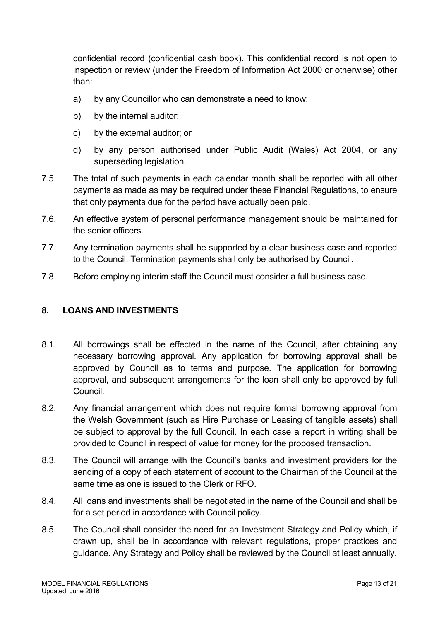confidential record (confidential cash book). This confidential record is not open to inspection or review (under the Freedom of Information Act 2000 or otherwise) other than:

- a) by any Councillor who can demonstrate a need to know;
- b) by the internal auditor;
- c) by the external auditor; or
- d) by any person authorised under Public Audit (Wales) Act 2004, or any superseding legislation.
- 7.5. The total of such payments in each calendar month shall be reported with all other payments as made as may be required under these Financial Regulations, to ensure that only payments due for the period have actually been paid.
- 7.6. An effective system of personal performance management should be maintained for the senior officers.
- 7.7. Any termination payments shall be supported by a clear business case and reported to the Council. Termination payments shall only be authorised by Council.
- 7.8. Before employing interim staff the Council must consider a full business case.

# <span id="page-12-0"></span>**8. LOANS AND INVESTMENTS**

- 8.1. All borrowings shall be effected in the name of the Council, after obtaining any necessary borrowing approval. Any application for borrowing approval shall be approved by Council as to terms and purpose. The application for borrowing approval, and subsequent arrangements for the loan shall only be approved by full Council.
- 8.2. Any financial arrangement which does not require formal borrowing approval from the Welsh Government (such as Hire Purchase or Leasing of tangible assets) shall be subject to approval by the full Council. In each case a report in writing shall be provided to Council in respect of value for money for the proposed transaction.
- 8.3. The Council will arrange with the Council's banks and investment providers for the sending of a copy of each statement of account to the Chairman of the Council at the same time as one is issued to the Clerk or RFO.
- 8.4. All loans and investments shall be negotiated in the name of the Council and shall be for a set period in accordance with Council policy.
- 8.5. The Council shall consider the need for an Investment Strategy and Policy which, if drawn up, shall be in accordance with relevant regulations, proper practices and guidance. Any Strategy and Policy shall be reviewed by the Council at least annually.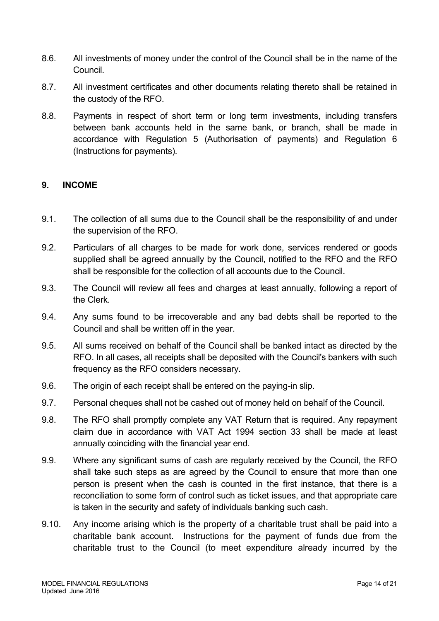- 8.6. All investments of money under the control of the Council shall be in the name of the Council.
- 8.7. All investment certificates and other documents relating thereto shall be retained in the custody of the RFO.
- 8.8. Payments in respect of short term or long term investments, including transfers between bank accounts held in the same bank, or branch, shall be made in accordance with Regulation 5 (Authorisation of payments) and Regulation 6 (Instructions for payments).

## <span id="page-13-0"></span>**9. INCOME**

- 9.1. The collection of all sums due to the Council shall be the responsibility of and under the supervision of the RFO.
- 9.2. Particulars of all charges to be made for work done, services rendered or goods supplied shall be agreed annually by the Council, notified to the RFO and the RFO shall be responsible for the collection of all accounts due to the Council.
- 9.3. The Council will review all fees and charges at least annually, following a report of the Clerk.
- 9.4. Any sums found to be irrecoverable and any bad debts shall be reported to the Council and shall be written off in the year.
- 9.5. All sums received on behalf of the Council shall be banked intact as directed by the RFO. In all cases, all receipts shall be deposited with the Council's bankers with such frequency as the RFO considers necessary.
- 9.6. The origin of each receipt shall be entered on the paying-in slip.
- 9.7. Personal cheques shall not be cashed out of money held on behalf of the Council.
- 9.8. The RFO shall promptly complete any VAT Return that is required. Any repayment claim due in accordance with VAT Act 1994 section 33 shall be made at least annually coinciding with the financial year end.
- 9.9. Where any significant sums of cash are regularly received by the Council, the RFO shall take such steps as are agreed by the Council to ensure that more than one person is present when the cash is counted in the first instance, that there is a reconciliation to some form of control such as ticket issues, and that appropriate care is taken in the security and safety of individuals banking such cash.
- 9.10. Any income arising which is the property of a charitable trust shall be paid into a charitable bank account. Instructions for the payment of funds due from the charitable trust to the Council (to meet expenditure already incurred by the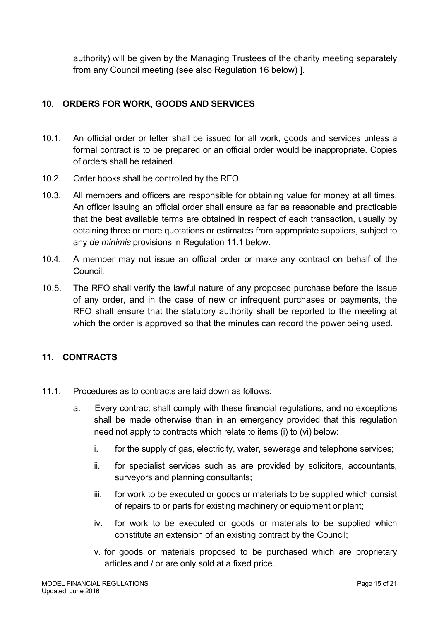authority) will be given by the Managing Trustees of the charity meeting separately from any Council meeting (see also Regulation 16 below) ].

# <span id="page-14-0"></span>**10. ORDERS FOR WORK, GOODS AND SERVICES**

- 10.1. An official order or letter shall be issued for all work, goods and services unless a formal contract is to be prepared or an official order would be inappropriate. Copies of orders shall be retained.
- 10.2. Order books shall be controlled by the RFO.
- 10.3. All members and officers are responsible for obtaining value for money at all times. An officer issuing an official order shall ensure as far as reasonable and practicable that the best available terms are obtained in respect of each transaction, usually by obtaining three or more quotations or estimates from appropriate suppliers, subject to any *de minimis* provisions in Regulation 11.1 below.
- 10.4. A member may not issue an official order or make any contract on behalf of the Council.
- 10.5. The RFO shall verify the lawful nature of any proposed purchase before the issue of any order, and in the case of new or infrequent purchases or payments, the RFO shall ensure that the statutory authority shall be reported to the meeting at which the order is approved so that the minutes can record the power being used.

# <span id="page-14-1"></span>**11. CONTRACTS**

- 11.1. Procedures as to contracts are laid down as follows:
	- a. Every contract shall comply with these financial regulations, and no exceptions shall be made otherwise than in an emergency provided that this regulation need not apply to contracts which relate to items (i) to (vi) below:
		- i. for the supply of gas, electricity, water, sewerage and telephone services;
		- ii. for specialist services such as are provided by solicitors, accountants, surveyors and planning consultants;
		- iii. for work to be executed or goods or materials to be supplied which consist of repairs to or parts for existing machinery or equipment or plant;
		- iv. for work to be executed or goods or materials to be supplied which constitute an extension of an existing contract by the Council;
		- v. for goods or materials proposed to be purchased which are proprietary articles and / or are only sold at a fixed price.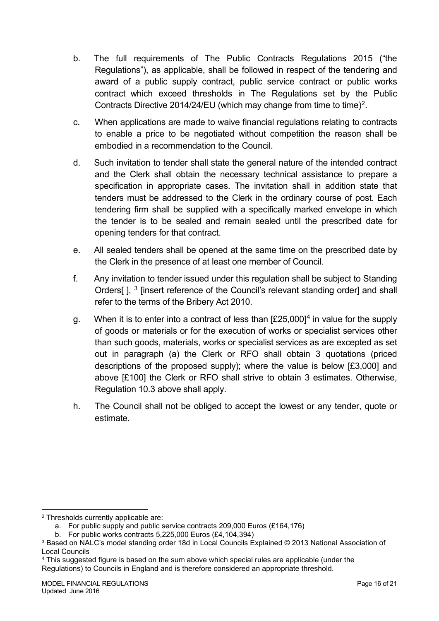- b. The full requirements of The Public Contracts Regulations 2015 ("the Regulations"), as applicable, shall be followed in respect of the tendering and award of a public supply contract, public service contract or public works contract which exceed thresholds in The Regulations set by the Public Contracts Directive [2](#page-15-0)014/24/EU (which may change from time to time)<sup>2</sup>.
- c. When applications are made to waive financial regulations relating to contracts to enable a price to be negotiated without competition the reason shall be embodied in a recommendation to the Council.
- d. Such invitation to tender shall state the general nature of the intended contract and the Clerk shall obtain the necessary technical assistance to prepare a specification in appropriate cases. The invitation shall in addition state that tenders must be addressed to the Clerk in the ordinary course of post. Each tendering firm shall be supplied with a specifically marked envelope in which the tender is to be sealed and remain sealed until the prescribed date for opening tenders for that contract.
- e. All sealed tenders shall be opened at the same time on the prescribed date by the Clerk in the presence of at least one member of Council.
- f. Any invitation to tender issued under this regulation shall be subject to Standing Orders[ ], <sup>[3](#page-15-1)</sup> [insert reference of the Council's relevant standing order] and shall refer to the terms of the Bribery Act 2010.
- g. When it is to enter into a contract of less than  $[£25,000]^4$  $[£25,000]^4$  in value for the supply of goods or materials or for the execution of works or specialist services other than such goods, materials, works or specialist services as are excepted as set out in paragraph (a) the Clerk or RFO shall obtain 3 quotations (priced descriptions of the proposed supply); where the value is below [£3,000] and above [£100] the Clerk or RFO shall strive to obtain 3 estimates. Otherwise, Regulation 10.3 above shall apply.
- h. The Council shall not be obliged to accept the lowest or any tender, quote or estimate.

<span id="page-15-0"></span><sup>2</sup> Thresholds currently applicable are:

a. For public supply and public service contracts 209,000 Euros (£164,176)

b. For public works contracts 5,225,000 Euros (£4,104,394)

<span id="page-15-1"></span><sup>3</sup> Based on NALC's model standing order 18d in Local Councils Explained © 2013 National Association of Local Councils

<span id="page-15-2"></span><sup>4</sup> This suggested figure is based on the sum above which special rules are applicable (under the Regulations) to Councils in England and is therefore considered an appropriate threshold.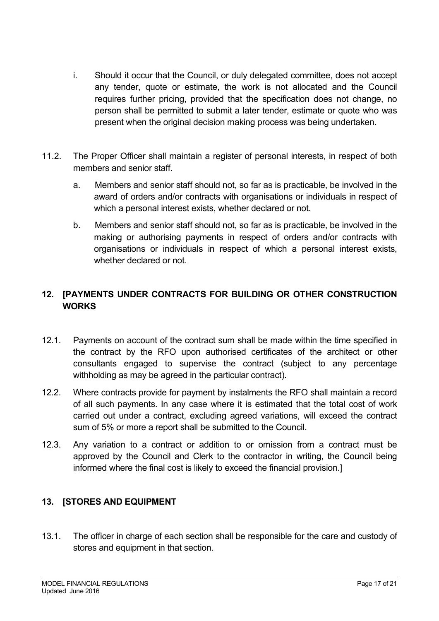- i. Should it occur that the Council, or duly delegated committee, does not accept any tender, quote or estimate, the work is not allocated and the Council requires further pricing, provided that the specification does not change, no person shall be permitted to submit a later tender, estimate or quote who was present when the original decision making process was being undertaken.
- 11.2. The Proper Officer shall maintain a register of personal interests, in respect of both members and senior staff.
	- a. Members and senior staff should not, so far as is practicable, be involved in the award of orders and/or contracts with organisations or individuals in respect of which a personal interest exists, whether declared or not.
	- b. Members and senior staff should not, so far as is practicable, be involved in the making or authorising payments in respect of orders and/or contracts with organisations or individuals in respect of which a personal interest exists, whether declared or not.

# <span id="page-16-0"></span>**12. [PAYMENTS UNDER CONTRACTS FOR BUILDING OR OTHER CONSTRUCTION WORKS**

- 12.1. Payments on account of the contract sum shall be made within the time specified in the contract by the RFO upon authorised certificates of the architect or other consultants engaged to supervise the contract (subject to any percentage withholding as may be agreed in the particular contract).
- 12.2. Where contracts provide for payment by instalments the RFO shall maintain a record of all such payments. In any case where it is estimated that the total cost of work carried out under a contract, excluding agreed variations, will exceed the contract sum of 5% or more a report shall be submitted to the Council.
- 12.3. Any variation to a contract or addition to or omission from a contract must be approved by the Council and Clerk to the contractor in writing, the Council being informed where the final cost is likely to exceed the financial provision.]

# <span id="page-16-1"></span>**13. [STORES AND EQUIPMENT**

13.1. The officer in charge of each section shall be responsible for the care and custody of stores and equipment in that section.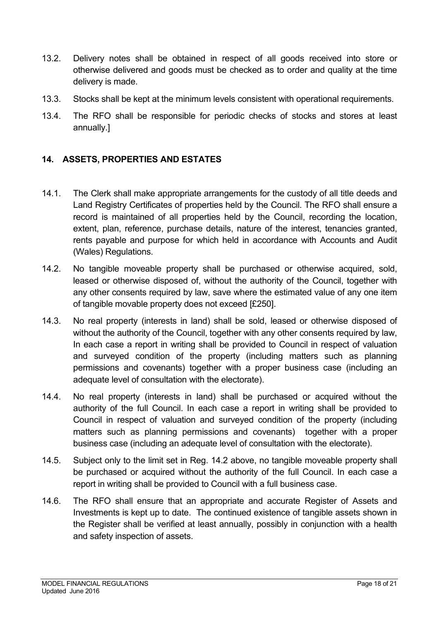- 13.2. Delivery notes shall be obtained in respect of all goods received into store or otherwise delivered and goods must be checked as to order and quality at the time delivery is made.
- 13.3. Stocks shall be kept at the minimum levels consistent with operational requirements.
- 13.4. The RFO shall be responsible for periodic checks of stocks and stores at least annually.]

## <span id="page-17-0"></span>**14. ASSETS, PROPERTIES AND ESTATES**

- 14.1. The Clerk shall make appropriate arrangements for the custody of all title deeds and Land Registry Certificates of properties held by the Council. The RFO shall ensure a record is maintained of all properties held by the Council, recording the location, extent, plan, reference, purchase details, nature of the interest, tenancies granted, rents payable and purpose for which held in accordance with Accounts and Audit (Wales) Regulations.
- 14.2. No tangible moveable property shall be purchased or otherwise acquired, sold, leased or otherwise disposed of, without the authority of the Council, together with any other consents required by law, save where the estimated value of any one item of tangible movable property does not exceed [£250].
- 14.3. No real property (interests in land) shall be sold, leased or otherwise disposed of without the authority of the Council, together with any other consents required by law. In each case a report in writing shall be provided to Council in respect of valuation and surveyed condition of the property (including matters such as planning permissions and covenants) together with a proper business case (including an adequate level of consultation with the electorate).
- 14.4. No real property (interests in land) shall be purchased or acquired without the authority of the full Council. In each case a report in writing shall be provided to Council in respect of valuation and surveyed condition of the property (including matters such as planning permissions and covenants) together with a proper business case (including an adequate level of consultation with the electorate).
- 14.5. Subject only to the limit set in Reg. 14.2 above, no tangible moveable property shall be purchased or acquired without the authority of the full Council. In each case a report in writing shall be provided to Council with a full business case.
- 14.6. The RFO shall ensure that an appropriate and accurate Register of Assets and Investments is kept up to date. The continued existence of tangible assets shown in the Register shall be verified at least annually, possibly in conjunction with a health and safety inspection of assets.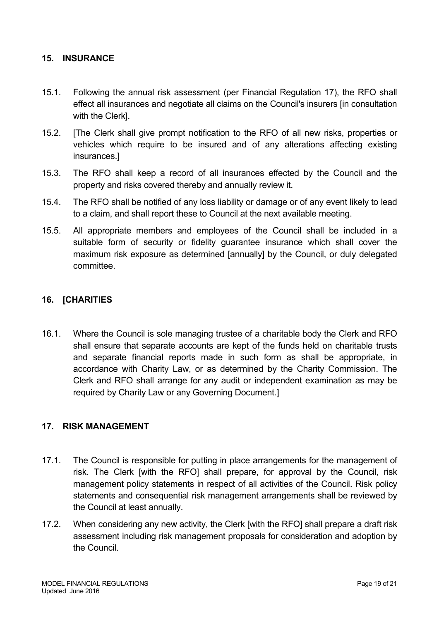## <span id="page-18-0"></span>**15. INSURANCE**

- 15.1. Following the annual risk assessment (per Financial Regulation 17), the RFO shall effect all insurances and negotiate all claims on the Council's insurers [in consultation with the Clerk].
- 15.2. [The Clerk shall give prompt notification to the RFO of all new risks, properties or vehicles which require to be insured and of any alterations affecting existing insurances.]
- 15.3. The RFO shall keep a record of all insurances effected by the Council and the property and risks covered thereby and annually review it.
- 15.4. The RFO shall be notified of any loss liability or damage or of any event likely to lead to a claim, and shall report these to Council at the next available meeting.
- 15.5. All appropriate members and employees of the Council shall be included in a suitable form of security or fidelity guarantee insurance which shall cover the maximum risk exposure as determined [annually] by the Council, or duly delegated committee.

## <span id="page-18-1"></span>**16. [CHARITIES**

16.1. Where the Council is sole managing trustee of a charitable body the Clerk and RFO shall ensure that separate accounts are kept of the funds held on charitable trusts and separate financial reports made in such form as shall be appropriate, in accordance with Charity Law, or as determined by the Charity Commission. The Clerk and RFO shall arrange for any audit or independent examination as may be required by Charity Law or any Governing Document.]

## <span id="page-18-2"></span>**17. RISK MANAGEMENT**

- 17.1. The Council is responsible for putting in place arrangements for the management of risk. The Clerk [with the RFO] shall prepare, for approval by the Council, risk management policy statements in respect of all activities of the Council. Risk policy statements and consequential risk management arrangements shall be reviewed by the Council at least annually.
- 17.2. When considering any new activity, the Clerk [with the RFO] shall prepare a draft risk assessment including risk management proposals for consideration and adoption by the Council.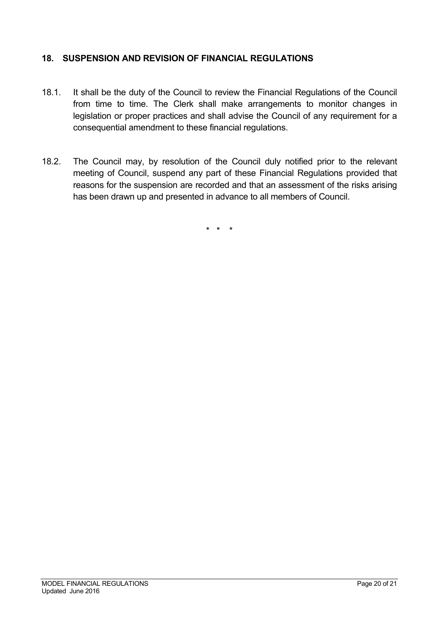## <span id="page-19-0"></span>**18. SUSPENSION AND REVISION OF FINANCIAL REGULATIONS**

- 18.1. It shall be the duty of the Council to review the Financial Regulations of the Council from time to time. The Clerk shall make arrangements to monitor changes in legislation or proper practices and shall advise the Council of any requirement for a consequential amendment to these financial regulations.
- 18.2. The Council may, by resolution of the Council duly notified prior to the relevant meeting of Council, suspend any part of these Financial Regulations provided that reasons for the suspension are recorded and that an assessment of the risks arising has been drawn up and presented in advance to all members of Council.

\* \* \*